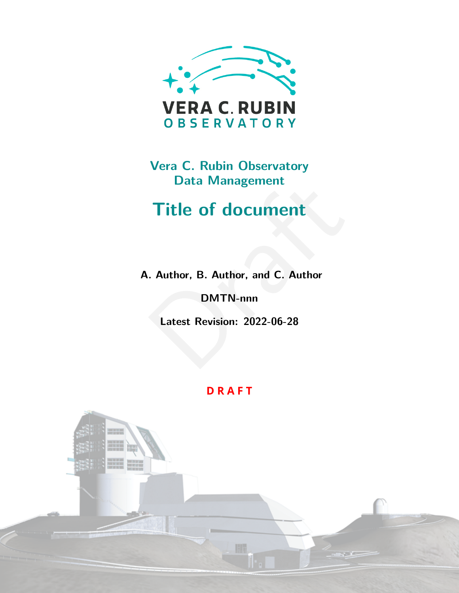

# **Vera C. Rubin Observatory Data Management**

# Title of document<br>
... Author, B. Author, and C. Author<br>
DMTN-nnn<br>
Latest Revision: 2022-06-28 **Title of document**

**A. Author, B. Author, and C. Author**

**DMTN-nnn**

**Latest Revision: 2022-06-28**

### **D R A F T**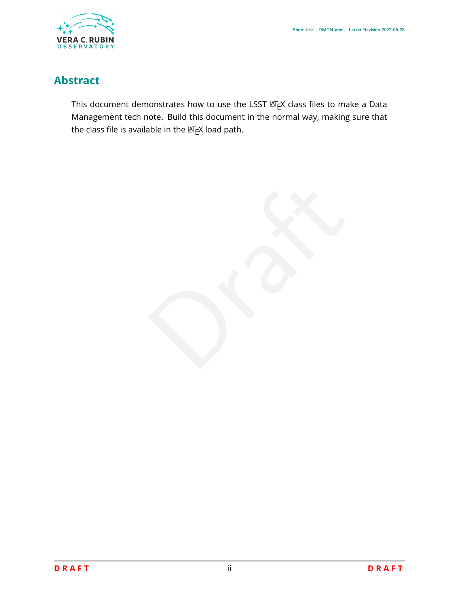

## **Abstract**

This document demonstrates how to use the LSST LATEX class files to make a Data Management tech note. Build this document in the normal way, making sure that the class file is available in the LTEX load path.

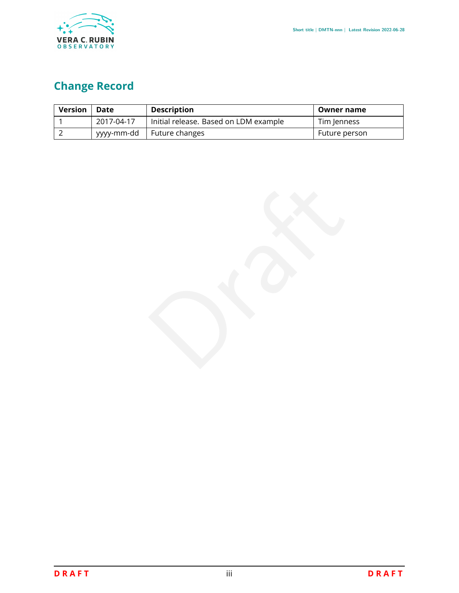

# **Change Record**

| <b>Version</b> | Date       | <b>Description</b>                    | Owner name    |
|----------------|------------|---------------------------------------|---------------|
|                | 2017-04-17 | Initial release. Based on LDM example | Tim Jenness   |
|                | yyyy-mm-dd | Future changes                        | Future person |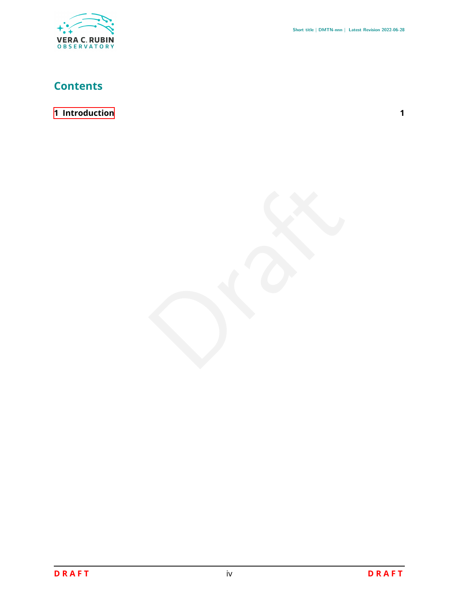

## **Contents**

#### **[1 Introduction](#page-4-0)**

**1**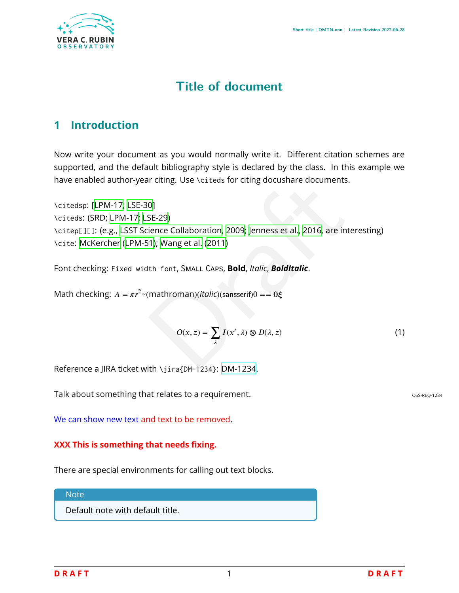

# **Title of document**

## <span id="page-4-0"></span>**1 Introduction**

Now write your document as you would normally write it. Different citation schemes are supported, and the default bibliography style is declared by the class. In this example we have enabled author-year citing. Use \citeds for citing docushare documents.

olding. Ose (criteds for ching docustial e documents.<br>
0]<br>
SE-29)<br>
dience Collaboration, 2009; Jenness et al., 2016, are interes<br>
1); Wang et al. (2011)<br>
Ith font, SMALL CAPS, **Bold**, *Italic*, **BoldItalic.**<br>
(mathroman)( \citedsp:[[LPM-17](#page-5-0) ; [LSE-30](#page-5-1) ] \citeds: (SRD; [LPM-17](#page-5-0); LSE-29) \citep[][]: (e.g., LSST Science Collaboration , 2009 ; Jenness et al. , 2016, are interesting) \cite : [McKercher](#page-5-5) ([LPM-51\)](#page-5-5); Wang et al. (2011 )

Font checking: Fixed width font, SMALL CAPS, **Bold**, Italic, BoldItalic.

Math checking:  $A = \pi r^2$   $\sim$  (mathroman)(*italic*)(sansserif)0 =  $0 \xi$ 

$$
O(x, z) = \sum_{\lambda} I(x', \lambda) \otimes D(\lambda, z) \tag{1}
$$

Reference a JIRA ticket with \jira{[DM-1234](https://jira.lsstcorp.org/browse/DM-1234)}: DM-1234.

Talk about something that relates to a requirement. The state of the state of the state oss-REQ-1234

We can show new text and text to be removed .

#### **XXX This is something that needs fixing.**

There are special environments for calling out text blocks.

**Note** 

Default note with default title.

**D R A F T**